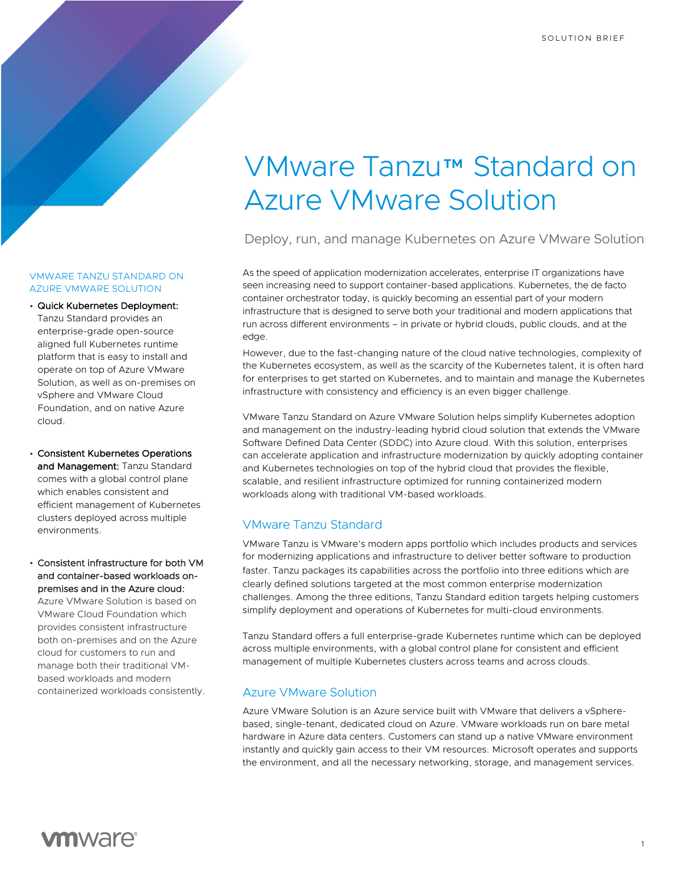# VMware Tanzu™ Standard on Azure VMware Solution

Deploy, run, and manage Kubernetes on Azure VMware Solution

As the speed of application modernization accelerates, enterprise IT organizations have seen increasing need to support container-based applications. Kubernetes, the de facto container orchestrator today, is quickly becoming an essential part of your modern infrastructure that is designed to serve both your traditional and modern applications that run across different environments – in private or hybrid clouds, public clouds, and at the edge.

However, due to the fast-changing nature of the cloud native technologies, complexity of the Kubernetes ecosystem, as well as the scarcity of the Kubernetes talent, it is often hard for enterprises to get started on Kubernetes, and to maintain and manage the Kubernetes infrastructure with consistency and efficiency is an even bigger challenge.

VMware Tanzu Standard on Azure VMware Solution helps simplify Kubernetes adoption and management on the industry-leading hybrid cloud solution that extends the VMware Software Defined Data Center (SDDC) into Azure cloud. With this solution, enterprises can accelerate application and infrastructure modernization by quickly adopting container and Kubernetes technologies on top of the hybrid cloud that provides the flexible, scalable, and resilient infrastructure optimized for running containerized modern workloads along with traditional VM-based workloads.

## VMware Tanzu Standard

VMware Tanzu is VMware's modern apps portfolio which includes products and services for modernizing applications and infrastructure to deliver better software to production faster. Tanzu packages its capabilities across the portfolio into three editions which are clearly defined solutions targeted at the most common enterprise modernization challenges. Among the three editions, Tanzu Standard edition targets helping customers simplify deployment and operations of Kubernetes for multi-cloud environments.

Tanzu Standard offers a full enterprise-grade Kubernetes runtime which can be deployed across multiple environments, with a global control plane for consistent and efficient management of multiple Kubernetes clusters across teams and across clouds.

# Azure VMware Solution

Azure VMware Solution is an Azure service built with VMware that delivers a vSpherebased, single-tenant, dedicated cloud on Azure. VMware workloads run on bare metal hardware in Azure data centers. Customers can stand up a native VMware environment instantly and quickly gain access to their VM resources. Microsoft operates and supports the environment, and all the necessary networking, storage, and management services.

### VMWARE TANZU STANDARD ON AZURE VMWARE SOLUTION

• Quick Kubernetes Deployment: Tanzu Standard provides an enterprise-grade open-source aligned full Kubernetes runtime platform that is easy to install and operate on top of Azure VMware Solution, as well as on-premises on vSphere and VMware Cloud Foundation, and on native Azure cloud.

• Consistent Kubernetes Operations and Management: Tanzu Standard comes with a global control plane which enables consistent and efficient management of Kubernetes clusters deployed across multiple environments.

• Consistent infrastructure for both VM and container-based workloads onpremises and in the Azure cloud: Azure VMware Solution is based on VMware Cloud Foundation which provides consistent infrastructure both on-premises and on the Azure cloud for customers to run and manage both their traditional VMbased workloads and modern containerized workloads consistently.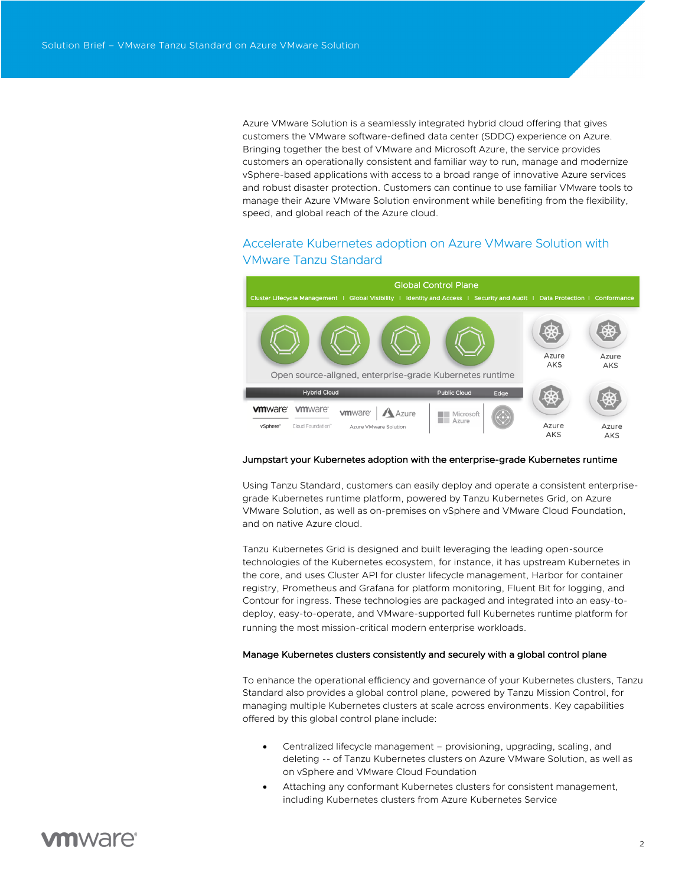Azure VMware Solution is a seamlessly integrated hybrid cloud offering that gives customers the VMware software-defined data center (SDDC) experience on Azure. Bringing together the best of VMware and Microsoft Azure, the service provides customers an operationally consistent and familiar way to run, manage and modernize vSphere-based applications with access to a broad range of innovative Azure services and robust disaster protection. Customers can continue to use familiar VMware tools to manage their Azure VMware Solution environment while benefiting from the flexibility, speed, and global reach of the Azure cloud.

# Accelerate Kubernetes adoption on Azure VMware Solution with VMware Tanzu Standard



### Jumpstart your Kubernetes adoption with the enterprise-grade Kubernetes runtime

Using Tanzu Standard, customers can easily deploy and operate a consistent enterprisegrade Kubernetes runtime platform, powered by Tanzu Kubernetes Grid, on Azure VMware Solution, as well as on-premises on vSphere and VMware Cloud Foundation, and on native Azure cloud.

Tanzu Kubernetes Grid is designed and built leveraging the leading open-source technologies of the Kubernetes ecosystem, for instance, it has upstream Kubernetes in the core, and uses Cluster API for cluster lifecycle management, Harbor for container registry, Prometheus and Grafana for platform monitoring, Fluent Bit for logging, and Contour for ingress. These technologies are packaged and integrated into an easy-todeploy, easy-to-operate, and VMware-supported full Kubernetes runtime platform for running the most mission-critical modern enterprise workloads.

### Manage Kubernetes clusters consistently and securely with a global control plane

To enhance the operational efficiency and governance of your Kubernetes clusters, Tanzu Standard also provides a global control plane, powered by Tanzu Mission Control, for managing multiple Kubernetes clusters at scale across environments. Key capabilities offered by this global control plane include:

- Centralized lifecycle management provisioning, upgrading, scaling, and deleting -- of Tanzu Kubernetes clusters on Azure VMware Solution, as well as on vSphere and VMware Cloud Foundation
- Attaching any conformant Kubernetes clusters for consistent management, including Kubernetes clusters from Azure Kubernetes Service

# **vm**ware<sup>®</sup>